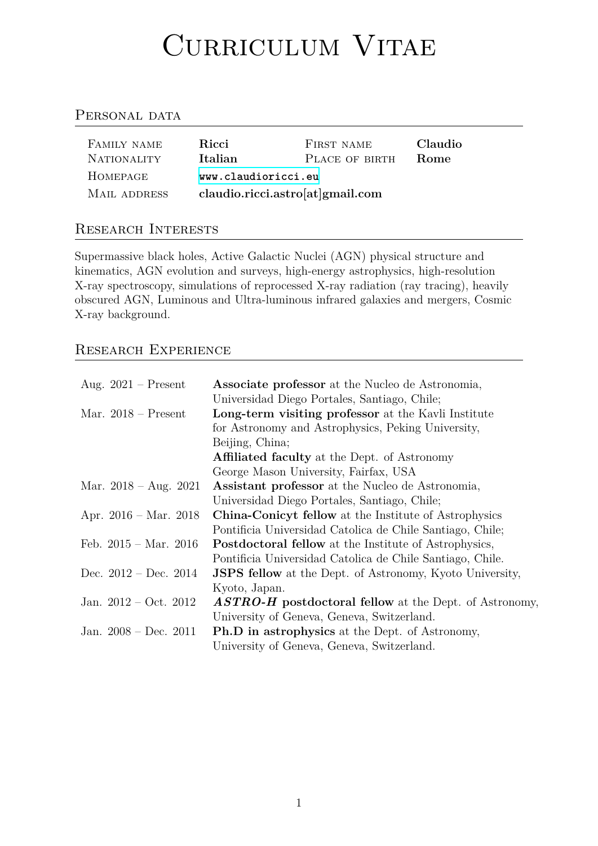#### Cultulum Vitum

# PERSONAL DATA

| FAMILY NAME<br><b>NATIONALITY</b> | Ricci<br>Italian                 | FIRST NAME<br>PLACE OF BIRTH | Claudio<br><b>Rome</b> |
|-----------------------------------|----------------------------------|------------------------------|------------------------|
| HOMEPAGE                          | www.claudioricci.eu              |                              |                        |
| MAIL ADDRESS                      | claudio.ricci.astro[at]gmail.com |                              |                        |

# Research Intere[sts](www.claudioricci.eu)

Supermassive black holes, Active Galactic Nuclei (AGN) physical structure and kinematics, AGN evolution and surveys, high-energy astrophysics, high-resolution X-ray spectroscopy, simulations of reprocessed X-ray radiation (ray tracing), heavily obscured AGN, Luminous and Ultra-luminous infrared galaxies and mergers, Cosmic X-ray background.

# Research Experience

| Aug. $2021$ – Present           | <b>Associate professor</b> at the Nucleo de Astronomia,         |
|---------------------------------|-----------------------------------------------------------------|
|                                 | Universidad Diego Portales, Santiago, Chile;                    |
| Mar. $2018$ – Present           | Long-term visiting professor at the Kavli Institute             |
|                                 | for Astronomy and Astrophysics, Peking University,              |
|                                 | Beijing, China;                                                 |
|                                 | <b>Affiliated faculty</b> at the Dept. of Astronomy             |
|                                 | George Mason University, Fairfax, USA                           |
| Mar. $2018 - Aug. 2021$         | <b>Assistant professor</b> at the Nucleo de Astronomia,         |
|                                 | Universidad Diego Portales, Santiago, Chile;                    |
| Apr. $2016 - \text{Mar. } 2018$ | <b>China-Conicyt fellow</b> at the Institute of Astrophysics    |
|                                 | Pontificia Universidad Catolica de Chile Santiago, Chile;       |
| Feb. $2015 - \text{Mar. } 2016$ | <b>Postdoctoral fellow</b> at the Institute of Astrophysics,    |
|                                 | Pontificia Universidad Catolica de Chile Santiago, Chile.       |
| Dec. $2012 - Dec. 2014$         | <b>JSPS fellow</b> at the Dept. of Astronomy, Kyoto University, |
|                                 | Kyoto, Japan.                                                   |
| Jan. $2012 - Oct. 2012$         | <b>ASTRO-H</b> postdoctoral fellow at the Dept. of Astronomy,   |
|                                 | University of Geneva, Geneva, Switzerland.                      |
| Jan. $2008 - Dec. 2011$         | <b>Ph.D</b> in astrophysics at the Dept. of Astronomy,          |
|                                 | University of Geneva, Geneva, Switzerland.                      |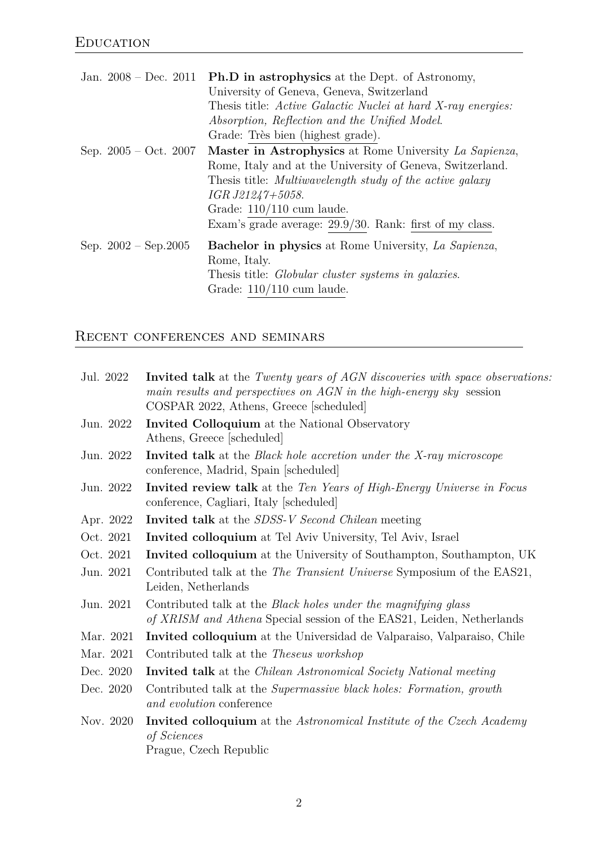|  |                               | Jan. $2008 - Dec. 2011$ Ph.D in astrophysics at the Dept. of Astronomy, |
|--|-------------------------------|-------------------------------------------------------------------------|
|  |                               | University of Geneva, Geneva, Switzerland                               |
|  |                               | Thesis title: Active Galactic Nuclei at hard X-ray energies:            |
|  |                               | Absorption, Reflection and the Unified Model.                           |
|  |                               | Grade: Très bien (highest grade).                                       |
|  | Sep. $2005 - Oct. 2007$       | Master in Astrophysics at Rome University La Sapienza,                  |
|  |                               | Rome, Italy and at the University of Geneva, Switzerland.               |
|  |                               | Thesis title: Multiwavelength study of the active galaxy                |
|  |                               | IGR J21247+5058.                                                        |
|  |                               | Grade: $110/110$ cum laude.                                             |
|  |                               | Exam's grade average: $29.9/30$ . Rank: first of my class.              |
|  | Sep. $2002 - \text{Sep}.2005$ | <b>Bachelor in physics</b> at Rome University, La Sapienza,             |
|  | Rome, Italy.                  |                                                                         |
|  |                               | Thesis title: <i>Globular cluster systems in galaxies</i> .             |
|  |                               | Grade: $110/110$ cum laude.                                             |

# RECENT CONFERENCES AND SEMINARS

| Jul. 2022 | <b>Invited talk</b> at the <i>Twenty years of AGN discoveries with space observations:</i><br>main results and perspectives on AGN in the high-energy sky session<br>COSPAR 2022, Athens, Greece [scheduled] |
|-----------|--------------------------------------------------------------------------------------------------------------------------------------------------------------------------------------------------------------|
| Jun. 2022 | Invited Colloquium at the National Observatory<br>Athens, Greece [scheduled]                                                                                                                                 |
| Jun. 2022 | <b>Invited talk</b> at the <i>Black hole accretion under the X-ray microscope</i><br>conference, Madrid, Spain [scheduled]                                                                                   |
| Jun. 2022 | Invited review talk at the Ten Years of High-Energy Universe in Focus<br>conference, Cagliari, Italy [scheduled]                                                                                             |
| Apr. 2022 | <b>Invited talk</b> at the <i>SDSS-V Second Chilean</i> meeting                                                                                                                                              |
| Oct. 2021 | Invited colloquium at Tel Aviv University, Tel Aviv, Israel                                                                                                                                                  |
| Oct. 2021 | <b>Invited colloquium</b> at the University of Southampton, Southampton, UK                                                                                                                                  |
| Jun. 2021 | Contributed talk at the The Transient Universe Symposium of the EAS21,<br>Leiden, Netherlands                                                                                                                |
| Jun. 2021 | Contributed talk at the <i>Black holes under the magnifying glass</i><br>of XRISM and Athena Special session of the EAS21, Leiden, Netherlands                                                               |
| Mar. 2021 | <b>Invited colloquium</b> at the Universidad de Valparaiso, Valparaiso, Chile                                                                                                                                |
| Mar. 2021 | Contributed talk at the <i>Theseus workshop</i>                                                                                                                                                              |
| Dec. 2020 | <b>Invited talk</b> at the <i>Chilean Astronomical Society National meeting</i>                                                                                                                              |
| Dec. 2020 | Contributed talk at the Supermassive black holes: Formation, growth<br>and evolution conference                                                                                                              |
| Nov. 2020 | <b>Invited colloquium</b> at the Astronomical Institute of the Czech Academy<br>of Sciences<br>Prague, Czech Republic                                                                                        |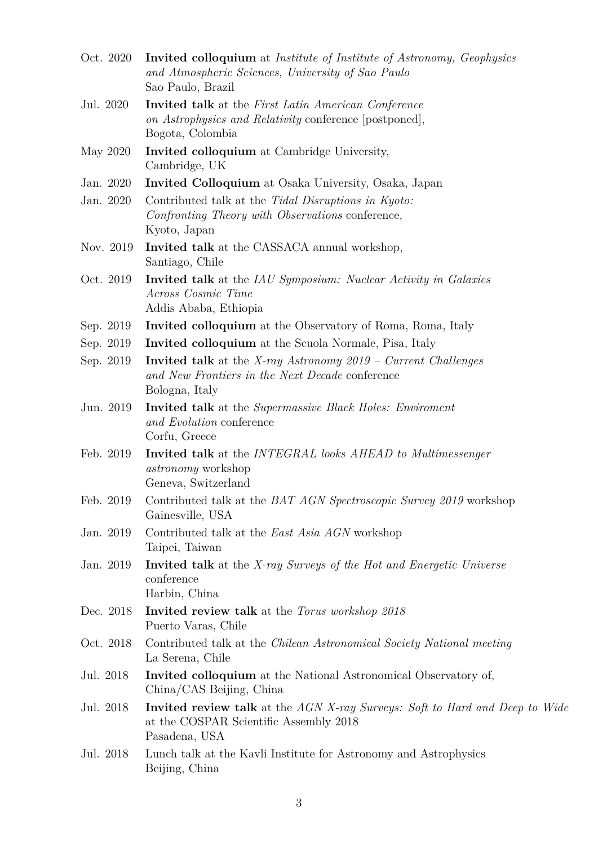| Oct. 2020 | Invited colloquium at Institute of Institute of Astronomy, Geophysics<br>and Atmospheric Sciences, University of Sao Paulo<br>Sao Paulo, Brazil    |
|-----------|----------------------------------------------------------------------------------------------------------------------------------------------------|
| Jul. 2020 | <b>Invited talk</b> at the <i>First Latin American Conference</i><br>on Astrophysics and Relativity conference [postponed],<br>Bogota, Colombia    |
| May 2020  | Invited colloquium at Cambridge University,<br>Cambridge, UK                                                                                       |
| Jan. 2020 | Invited Colloquium at Osaka University, Osaka, Japan                                                                                               |
| Jan. 2020 | Contributed talk at the Tidal Disruptions in Kyoto:<br>Confronting Theory with Observations conference,<br>Kyoto, Japan                            |
| Nov. 2019 | Invited talk at the CASSACA annual workshop,<br>Santiago, Chile                                                                                    |
| Oct. 2019 | <b>Invited talk</b> at the IAU Symposium: Nuclear Activity in Galaxies<br>Across Cosmic Time<br>Addis Ababa, Ethiopia                              |
| Sep. 2019 | <b>Invited colloquium</b> at the Observatory of Roma, Roma, Italy                                                                                  |
| Sep. 2019 | <b>Invited colloquium</b> at the Scuola Normale, Pisa, Italy                                                                                       |
| Sep. 2019 | <b>Invited talk</b> at the <i>X-ray Astronomy</i> $2019$ – Current Challenges<br>and New Frontiers in the Next Decade conference<br>Bologna, Italy |
| Jun. 2019 | <b>Invited talk</b> at the <i>Supermassive Black Holes: Enviroment</i><br>and Evolution conference<br>Corfu, Greece                                |
| Feb. 2019 | <b>Invited talk</b> at the <i>INTEGRAL</i> looks <i>AHEAD</i> to <i>Multimessenger</i><br><i>astronomy</i> workshop<br>Geneva, Switzerland         |
| Feb. 2019 | Contributed talk at the <i>BAT AGN Spectroscopic Survey 2019</i> workshop<br>Gainesville, USA                                                      |
| Jan. 2019 | Contributed talk at the East Asia AGN workshop<br>Taipei, Taiwan                                                                                   |
| Jan. 2019 | <b>Invited talk</b> at the X-ray Surveys of the Hot and Energetic Universe<br>conference<br>Harbin, China                                          |
| Dec. 2018 | Invited review talk at the Torus workshop 2018<br>Puerto Varas, Chile                                                                              |
| Oct. 2018 | Contributed talk at the <i>Chilean Astronomical Society National meeting</i><br>La Serena, Chile                                                   |
| Jul. 2018 | <b>Invited colloquium</b> at the National Astronomical Observatory of,<br>China/CAS Beijing, China                                                 |
| Jul. 2018 | <b>Invited review talk</b> at the AGN X-ray Surveys: Soft to Hard and Deep to Wide<br>at the COSPAR Scientific Assembly 2018<br>Pasadena, USA      |
| Jul. 2018 | Lunch talk at the Kavli Institute for Astronomy and Astrophysics<br>Beijing, China                                                                 |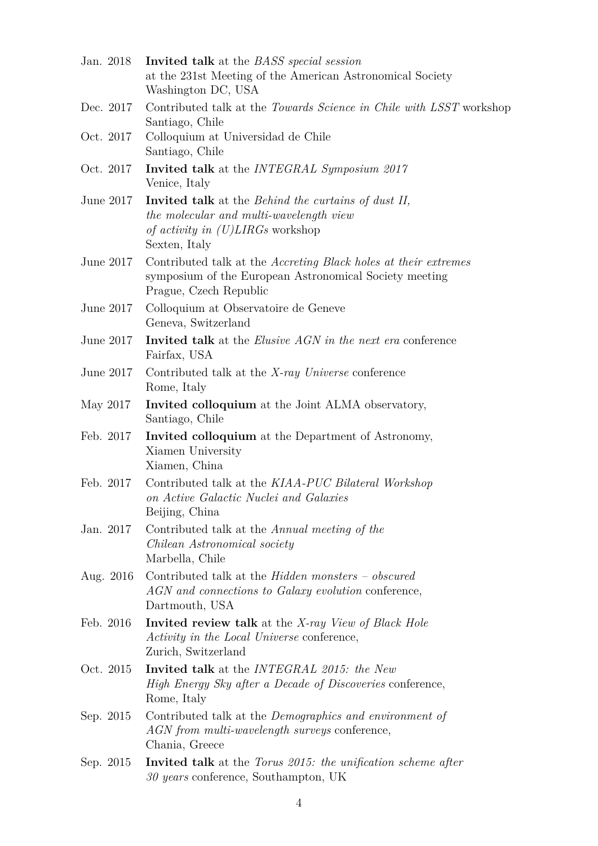| Jan. 2018   | <b>Invited talk</b> at the <i>BASS</i> special session<br>at the 231st Meeting of the American Astronomical Society                                                                     |
|-------------|-----------------------------------------------------------------------------------------------------------------------------------------------------------------------------------------|
|             | Washington DC, USA                                                                                                                                                                      |
| Dec. 2017   | Contributed talk at the Towards Science in Chile with LSST workshop<br>Santiago, Chile                                                                                                  |
| Oct. 2017   | Colloquium at Universidad de Chile<br>Santiago, Chile                                                                                                                                   |
| Oct. 2017   | <b>Invited talk</b> at the <i>INTEGRAL Symposium</i> 2017<br>Venice, Italy                                                                                                              |
| June $2017$ | <b>Invited talk</b> at the <i>Behind the curtains of dust II</i> ,<br>the molecular and multi-wavelength view<br><i>of activity in <math>(U) LIRGs</math></i> workshop<br>Sexten, Italy |
| June 2017   | Contributed talk at the <i>Accreting Black holes at their extremes</i><br>symposium of the European Astronomical Society meeting<br>Prague, Czech Republic                              |
| June $2017$ | Colloquium at Observatoire de Geneve<br>Geneva, Switzerland                                                                                                                             |
| June 2017   | <b>Invited talk</b> at the <i>Elusive AGN</i> in the next era conference<br>Fairfax, USA                                                                                                |
| June 2017   | Contributed talk at the X-ray Universe conference<br>Rome, Italy                                                                                                                        |
| May 2017    | Invited colloquium at the Joint ALMA observatory,<br>Santiago, Chile                                                                                                                    |
| Feb. 2017   | <b>Invited colloquium</b> at the Department of Astronomy,<br>Xiamen University<br>Xiamen, China                                                                                         |
| Feb. 2017   | Contributed talk at the KIAA-PUC Bilateral Workshop<br>on Active Galactic Nuclei and Galaxies<br>Beijing, China                                                                         |
| Jan. 2017   | Contributed talk at the Annual meeting of the<br>Chilean Astronomical society<br>Marbella, Chile                                                                                        |
| Aug. 2016   | Contributed talk at the <i>Hidden monsters</i> – <i>obscured</i><br>AGN and connections to Galaxy evolution conference,<br>Dartmouth, USA                                               |
| Feb. 2016   | <b>Invited review talk</b> at the X-ray View of Black Hole<br>Activity in the Local Universe conference,<br>Zurich, Switzerland                                                         |
| Oct. 2015   | <b>Invited talk</b> at the <i>INTEGRAL</i> 2015: the New<br>High Energy Sky after a Decade of Discoveries conference,<br>Rome, Italy                                                    |
| Sep. 2015   | Contributed talk at the <i>Demographics and environment of</i><br>AGN from multi-wavelength surveys conference,<br>Chania, Greece                                                       |
| Sep. 2015   | <b>Invited talk</b> at the <i>Torus 2015</i> : the unification scheme after<br>30 years conference, Southampton, UK                                                                     |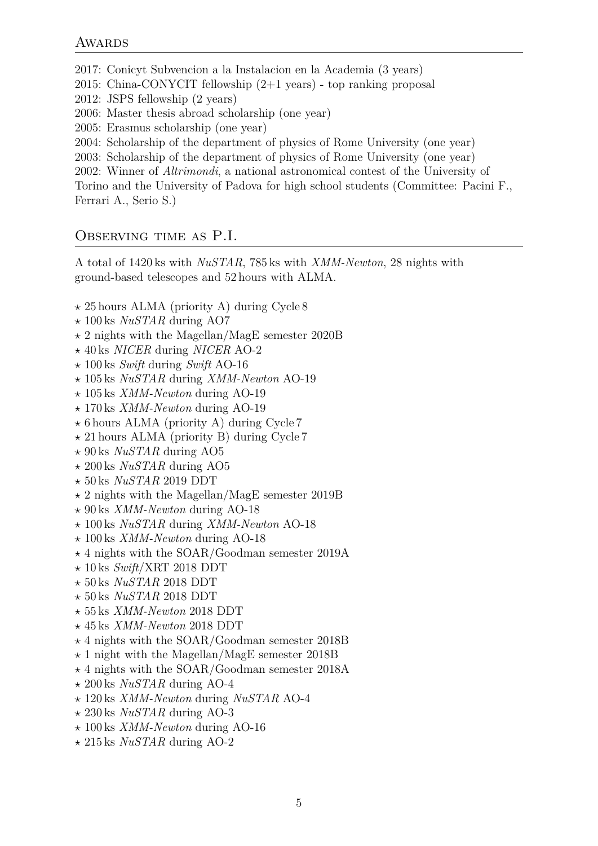2017: Conicyt Subvencion a la Instalacion en la Academia (3 years) 2015: China-CONYCIT fellowship (2+1 years) - top ranking proposal 2012: JSPS fellowship (2 years) 2006: Master thesis abroad scholarship (one year) 2005: Erasmus scholarship (one year) 2004: Scholarship of the department of physics of Rome University (one year) 2003: Scholarship of the department of physics of Rome University (one year) 2002: Winner of *Altrimondi*, a national astronomical contest of the University of Torino and the University of Padova for high school students (Committee: Pacini F., Ferrari A., Serio S.)

#### Observing time as P.I.

A total of 1420 ks with *NuSTAR*, 785 ks with *XMM-Newton*, 28 nights with ground-based telescopes and 52 hours with ALMA.

- *⋆* 25 hours ALMA (priority A) during Cycle 8
- *⋆* 100 ks *NuSTAR* during AO7
- *⋆* 2 nights with the Magellan/MagE semester 2020B
- *⋆* 40 ks *NICER* during *NICER* AO-2
- *⋆* 100 ks *Swift* during *Swift* AO-16
- *⋆* 105 ks *NuSTAR* during *XMM-Newton* AO-19
- *⋆* 105 ks *XMM-Newton* during AO-19
- *⋆* 170 ks *XMM-Newton* during AO-19
- *⋆* 6 hours ALMA (priority A) during Cycle 7
- *⋆* 21 hours ALMA (priority B) during Cycle 7
- *⋆* 90 ks *NuSTAR* during AO5
- *⋆* 200 ks *NuSTAR* during AO5
- *⋆* 50 ks *NuSTAR* 2019 DDT
- *⋆* 2 nights with the Magellan/MagE semester 2019B
- *⋆* 90 ks *XMM-Newton* during AO-18
- *⋆* 100 ks *NuSTAR* during *XMM-Newton* AO-18
- *⋆* 100 ks *XMM-Newton* during AO-18
- *⋆* 4 nights with the SOAR/Goodman semester 2019A
- *⋆* 10 ks *Swift*/XRT 2018 DDT
- *⋆* 50 ks *NuSTAR* 2018 DDT
- *⋆* 50 ks *NuSTAR* 2018 DDT
- *⋆* 55 ks *XMM-Newton* 2018 DDT
- *⋆* 45 ks *XMM-Newton* 2018 DDT
- *⋆* 4 nights with the SOAR/Goodman semester 2018B
- *⋆* 1 night with the Magellan/MagE semester 2018B
- *⋆* 4 nights with the SOAR/Goodman semester 2018A
- *⋆* 200 ks *NuSTAR* during AO-4
- *⋆* 120 ks *XMM-Newton* during *NuSTAR* AO-4
- *⋆* 230 ks *NuSTAR* during AO-3
- *⋆* 100 ks *XMM-Newton* during AO-16
- *⋆* 215 ks *NuSTAR* during AO-2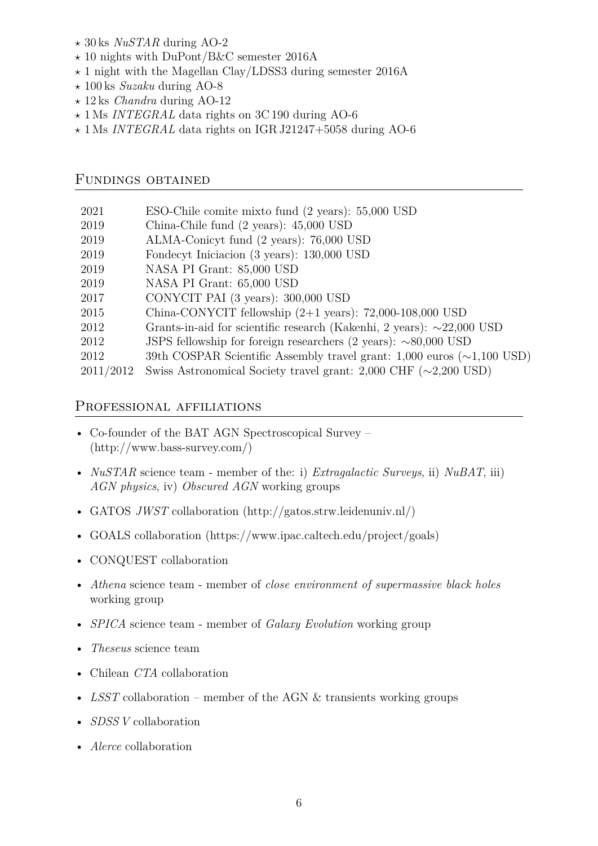- *⋆* 30 ks *NuSTAR* during AO-2
- *⋆* 10 nights with DuPont/B&C semester 2016A
- *⋆* 1 night with the Magellan Clay/LDSS3 during semester 2016A
- *⋆* 100 ks *Suzaku* during AO-8
- *⋆* 12 ks *Chandra* during AO-12
- *⋆* 1 Ms *INTEGRAL* data rights on 3C 190 during AO-6
- *⋆* 1 Ms *INTEGRAL* data rights on IGR J21247+5058 during AO-6

#### Fundings obtained

| 2021      | ESO-Chile comite mixto fund (2 years): 55,000 USD                                       |
|-----------|-----------------------------------------------------------------------------------------|
| 2019      | China-Chile fund (2 years): 45,000 USD                                                  |
| 2019      | ALMA-Conicyt fund (2 years): 76,000 USD                                                 |
| 2019      | Fondecyt Iniciacion (3 years): 130,000 USD                                              |
| 2019      | NASA PI Grant: 85,000 USD                                                               |
| 2019      | NASA PI Grant: 65,000 USD                                                               |
| 2017      | CONYCIT PAI (3 years): 300,000 USD                                                      |
| 2015      | China-CONYCIT fellowship $(2+1 \text{ years})$ : 72,000-108,000 USD                     |
| 2012      | Grants-in-aid for scientific research (Kakenhi, 2 years): $\sim$ 22,000 USD             |
| 2012      | JSPS fellowship for foreign researchers $(2 \text{ years})$ : $\sim 80,000 \text{ USD}$ |
| 2012      | 39th COSPAR Scientific Assembly travel grant: $1,000$ euros ( $\sim$ 1,100 USD)         |
| 2011/2012 | Swiss Astronomical Society travel grant: $2,000$ CHF ( $\sim$ 2,200 USD)                |
|           |                                                                                         |

#### PROFESSIONAL AFFILIATIONS

- Co-founder of the BAT AGN Spectroscopical Survey (http://www.bass-survey.com/)
- *NuSTAR* science team member of the: i) *Extragalactic Surveys*, ii) *NuBAT*, iii) *AGN physics*, iv) *Obscured AGN* working groups
- GATOS *JWST* collaboration (http://gatos.strw.leidenuniv.nl/)
- GOALS collaboration (https://www.ipac.caltech.edu/project/goals)
- CONQUEST collaboration
- *Athena* science team member of *close environment of supermassive black holes* working group
- *SPICA* science team member of *Galaxy Evolution* working group
- *Theseus* science team
- Chilean *CTA* collaboration
- *LSST* collaboration member of the AGN & transients working groups
- *SDSS V* collaboration
- *Alerce* collaboration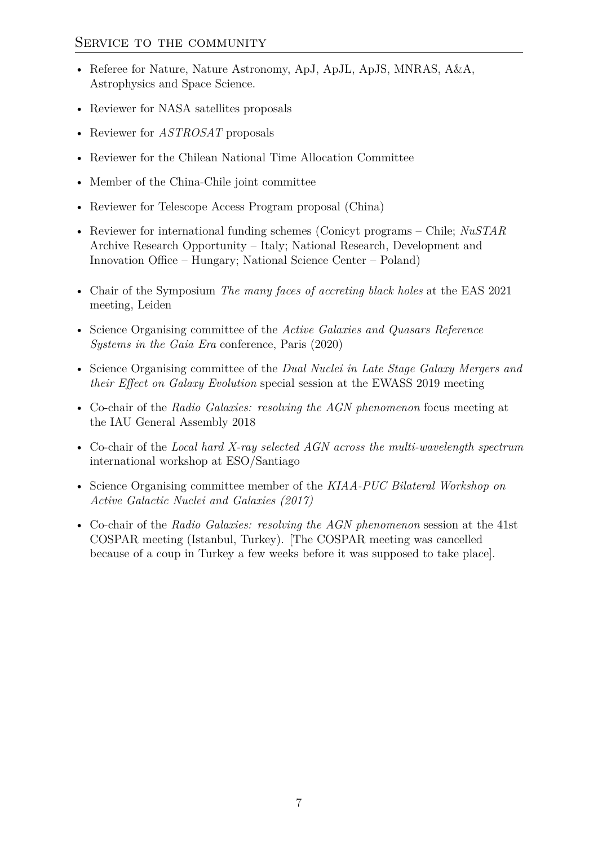- Referee for Nature, Nature Astronomy, ApJ, ApJL, ApJS, MNRAS, A&A, Astrophysics and Space Science.
- Reviewer for NASA satellites proposals
- Reviewer for *ASTROSAT* proposals
- Reviewer for the Chilean National Time Allocation Committee
- Member of the China-Chile joint committee
- Reviewer for Telescope Access Program proposal (China)
- Reviewer for international funding schemes (Conicyt programs Chile; *NuSTAR* Archive Research Opportunity – Italy; National Research, Development and Innovation Office – Hungary; National Science Center – Poland)
- Chair of the Symposium *The many faces of accreting black holes* at the EAS 2021 meeting, Leiden
- Science Organising committee of the *Active Galaxies and Quasars Reference Systems in the Gaia Era* conference, Paris (2020)
- Science Organising committee of the *Dual Nuclei in Late Stage Galaxy Mergers and their Effect on Galaxy Evolution* special session at the EWASS 2019 meeting
- Co-chair of the *Radio Galaxies: resolving the AGN phenomenon* focus meeting at the IAU General Assembly 2018
- Co-chair of the *Local hard X-ray selected AGN across the multi-wavelength spectrum* international workshop at ESO/Santiago
- Science Organising committee member of the *KIAA-PUC Bilateral Workshop on Active Galactic Nuclei and Galaxies (2017)*
- Co-chair of the *Radio Galaxies: resolving the AGN phenomenon* session at the 41st COSPAR meeting (Istanbul, Turkey). [The COSPAR meeting was cancelled because of a coup in Turkey a few weeks before it was supposed to take place].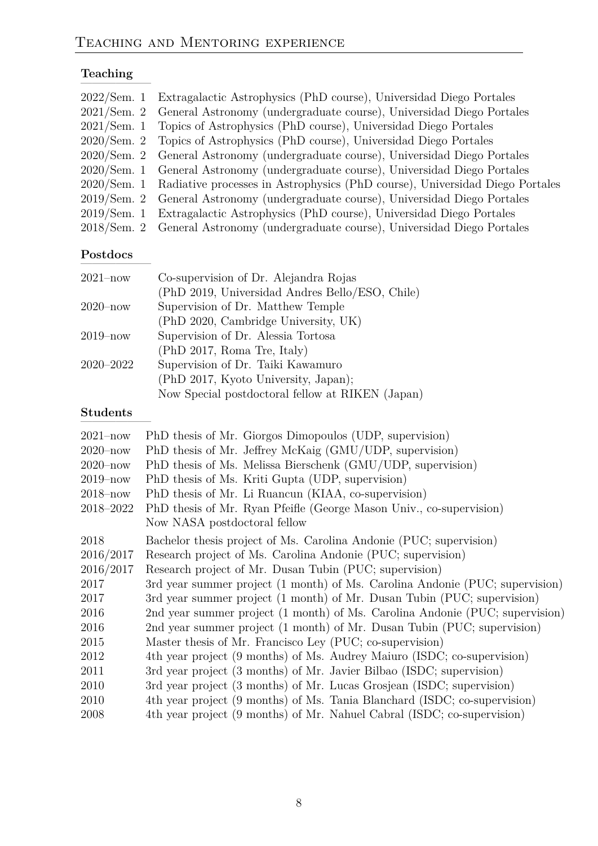# Teaching

| 2022/Sem. 1 Extragalactic Astrophysics (PhD course), Universidad Diego Portales          |
|------------------------------------------------------------------------------------------|
| 2021/Sem. 2 General Astronomy (undergraduate course), Universidad Diego Portales         |
| 2021/Sem. 1 Topics of Astrophysics (PhD course), Universidad Diego Portales              |
| 2020/Sem. 2 Topics of Astrophysics (PhD course), Universidad Diego Portales              |
| 2020/Sem. 2 General Astronomy (undergraduate course), Universidad Diego Portales         |
| 2020/Sem. 1 General Astronomy (undergraduate course), Universidad Diego Portales         |
| 2020/Sem. 1 Radiative processes in Astrophysics (PhD course), Universidad Diego Portales |
| 2019/Sem. 2 General Astronomy (undergraduate course), Universidad Diego Portales         |
| 2019/Sem. 1 Extragalactic Astrophysics (PhD course), Universidad Diego Portales          |
| 2018/Sem. 2 General Astronomy (undergraduate course), Universidad Diego Portales         |
|                                                                                          |

### $Postdoes$

| $2021 - now$  | Co-supervision of Dr. Alejandra Rojas            |
|---------------|--------------------------------------------------|
|               | (PhD 2019, Universidad Andres Bello/ESO, Chile)  |
| $2020 - now$  | Supervision of Dr. Matthew Temple                |
|               | (PhD 2020, Cambridge University, UK)             |
| $2019 - now$  | Supervision of Dr. Alessia Tortosa               |
|               | (PhD 2017, Roma Tre, Italy)                      |
| $2020 - 2022$ | Supervision of Dr. Taiki Kawamuro                |
|               | (PhD 2017, Kyoto University, Japan);             |
|               | Now Special postdoctoral fellow at RIKEN (Japan) |

# $Students$

| $2021 - now$ | PhD thesis of Mr. Giorgos Dimopoulos (UDP, supervision)                      |
|--------------|------------------------------------------------------------------------------|
| $2020 - now$ | PhD thesis of Mr. Jeffrey McKaig (GMU/UDP, supervision)                      |
| $2020 - now$ | PhD thesis of Ms. Melissa Bierschenk (GMU/UDP, supervision)                  |
| $2019 - now$ | PhD thesis of Ms. Kriti Gupta (UDP, supervision)                             |
| $2018 - now$ | PhD thesis of Mr. Li Ruancun (KIAA, co-supervision)                          |
| 2018–2022    | PhD thesis of Mr. Ryan Pfeifle (George Mason Univ., co-supervision)          |
|              | Now NASA postdoctoral fellow                                                 |
| 2018         | Bachelor thesis project of Ms. Carolina Andonie (PUC; supervision)           |
| 2016/2017    | Research project of Ms. Carolina Andonie (PUC; supervision)                  |
| 2016/2017    | Research project of Mr. Dusan Tubin (PUC; supervision)                       |
| 2017         | 3rd year summer project (1 month) of Ms. Carolina Andonie (PUC; supervision) |
| 2017         | 3rd year summer project (1 month) of Mr. Dusan Tubin (PUC; supervision)      |
| 2016         | 2nd year summer project (1 month) of Ms. Carolina Andonie (PUC; supervision) |
| 2016         | 2nd year summer project (1 month) of Mr. Dusan Tubin (PUC; supervision)      |
| 2015         | Master thesis of Mr. Francisco Ley (PUC; co-supervision)                     |
| 2012         | 4th year project (9 months) of Ms. Audrey Maiuro (ISDC; co-supervision)      |
| 2011         | 3rd year project (3 months) of Mr. Javier Bilbao (ISDC; supervision)         |
| 2010         | 3rd year project (3 months) of Mr. Lucas Grosjean (ISDC; supervision)        |
| 2010         | 4th year project (9 months) of Ms. Tania Blanchard (ISDC; co-supervision)    |
| 2008         | 4th year project (9 months) of Mr. Nahuel Cabral (ISDC; co-supervision)      |